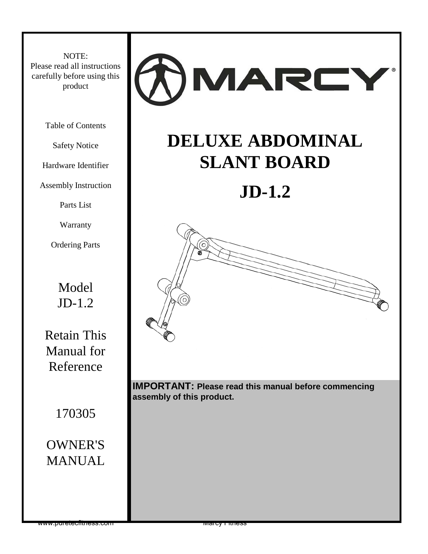NOTE: Please read all instructions carefully before using this product

Table of Contents

Safety Notice

Hardware Identifier

Assembly Instruction

Parts List

Warranty

Ordering Parts

Model JD-1.2

Retain This Manual for Reference

170305

### OWNER'S MANUAL



# **DELUXE ABDOMINAL SLANT BOARD**

# **JD-1.2**



**IMPORTANT: Please read this manual before commencing assembly of this product.**

www.puretechtriess.com  $\blacksquare$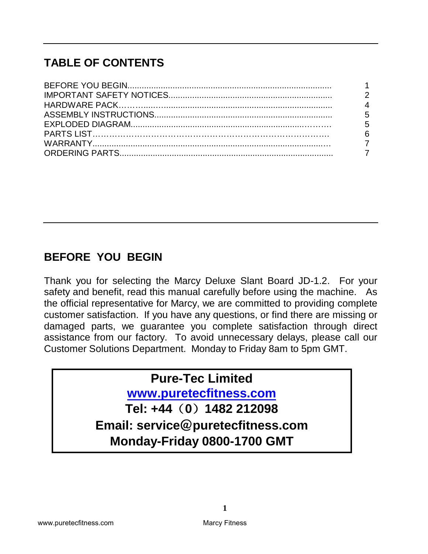## **TABLE OF CONTENTS**

| $\overline{2}$  |
|-----------------|
| $\overline{4}$  |
| $5\overline{)}$ |
| $5\overline{5}$ |
|                 |
|                 |
|                 |

## **BEFORE YOU BEGIN**

Thank you for selecting the Marcy Deluxe Slant Board JD-1.2. For your safety and benefit, read this manual carefully before using the machine. As the official representative for Marcy, we are committed to providing complete customer satisfaction. If you have any questions, or find there are missing or damaged parts, we guarantee you complete satisfaction through direct assistance from our factory. To avoid unnecessary delays, please call our Customer Solutions Department. Monday to Friday 8am to 5pm GMT.

## **Pure-Tec Limited**

**[www.puretecfitness.com](http://www.puretecfitness.com/)**

**Tel: +44**(**0**)**1482 212098 Email: service**@**puretecfitness.com Monday-Friday 0800-1700 GMT**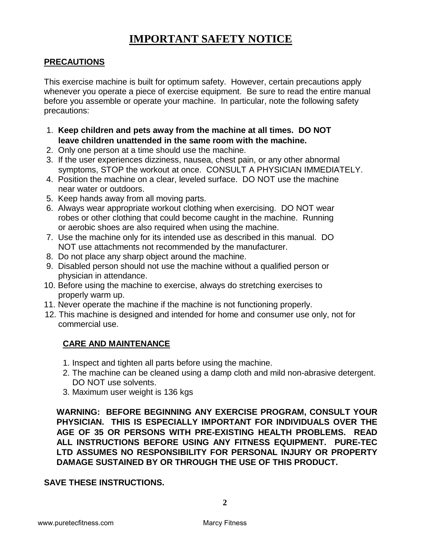#### **IMPORTANT SAFETY NOTICE**

#### **PRECAUTIONS**

This exercise machine is built for optimum safety. However, certain precautions apply whenever you operate a piece of exercise equipment. Be sure to read the entire manual before you assemble or operate your machine. In particular, note the following safety precautions:

- 1. **Keep children and pets away from the machine at all times. DO NOT leave children unattended in the same room with the machine.**
- 2. Only one person at a time should use the machine.
- 3. If the user experiences dizziness, nausea, chest pain, or any other abnormal symptoms, STOP the workout at once. CONSULT A PHYSICIAN IMMEDIATELY.
- 4. Position the machine on a clear, leveled surface. DO NOT use the machine near water or outdoors.
- 5. Keep hands away from all moving parts.
- 6. Always wear appropriate workout clothing when exercising. DO NOT wear robes or other clothing that could become caught in the machine. Running or aerobic shoes are also required when using the machine.
- 7. Use the machine only for its intended use as described in this manual. DO NOT use attachments not recommended by the manufacturer.
- 8. Do not place any sharp object around the machine.
- 9. Disabled person should not use the machine without a qualified person or physician in attendance.
- 10. Before using the machine to exercise, always do stretching exercises to properly warm up.
- 11. Never operate the machine if the machine is not functioning properly.
- 12. This machine is designed and intended for home and consumer use only, not for commercial use.

#### **CARE AND MAINTENANCE**

- 1. Inspect and tighten all parts before using the machine.
- 2. The machine can be cleaned using a damp cloth and mild non-abrasive detergent. DO NOT use solvents.
- 3. Maximum user weight is 136 kgs

**WARNING: BEFORE BEGINNING ANY EXERCISE PROGRAM, CONSULT YOUR PHYSICIAN. THIS IS ESPECIALLY IMPORTANT FOR INDIVIDUALS OVER THE AGE OF 35 OR PERSONS WITH PRE-EXISTING HEALTH PROBLEMS. READ ALL INSTRUCTIONS BEFORE USING ANY FITNESS EQUIPMENT. PURE-TEC LTD ASSUMES NO RESPONSIBILITY FOR PERSONAL INJURY OR PROPERTY DAMAGE SUSTAINED BY OR THROUGH THE USE OF THIS PRODUCT.**

#### **SAVE THESE INSTRUCTIONS.**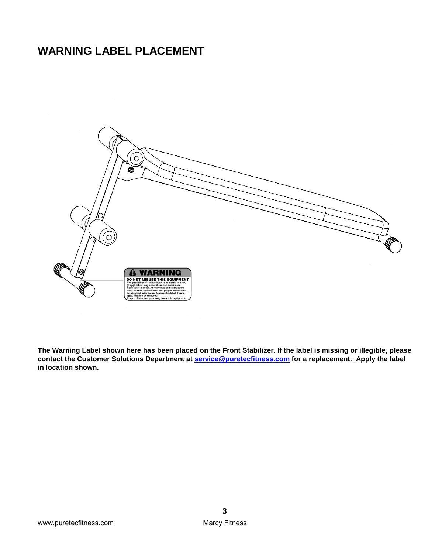## **WARNING LABEL PLACEMENT**



**The Warning Label shown here has been placed on the Front Stabilizer. If the label is missing or illegible, please contact the Customer Solutions Department at [service@puretecfitness.com](mailto:service@puretecfitness.com) for a replacement. Apply the label in location shown.**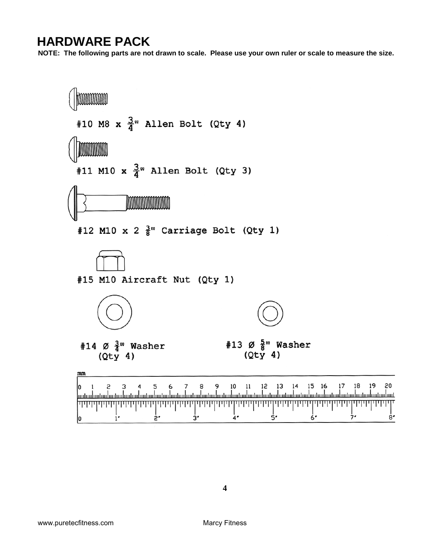**HARDWARE PACK**<br>NOTE: The following parts are not drawn to scale. Please use your own ruler or scale to measure the size.

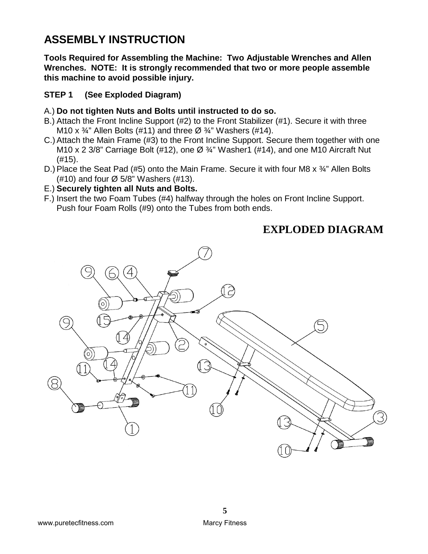### **ASSEMBLY INSTRUCTION**

**Tools Required for Assembling the Machine: Two Adjustable Wrenches and Allen Wrenches. NOTE: It is strongly recommended that two or more people assemble this machine to avoid possible injury.**

#### **STEP 1 (See Exploded Diagram)**

#### A.) **Do not tighten Nuts and Bolts until instructed to do so.**

- B.) Attach the Front Incline Support (#2) to the Front Stabilizer (#1). Secure it with three M10 x  $\frac{3}{4}$ " Allen Bolts (#11) and three Ø  $\frac{3}{4}$ " Washers (#14).
- C.)Attach the Main Frame (#3) to the Front Incline Support. Secure them together with one M10 x 2 3/8" Carriage Bolt (#12), one  $\varnothing$  3<sup>'</sup>/<sub>4</sub>" Washer1 (#14), and one M10 Aircraft Nut (#15).
- D.) Place the Seat Pad (#5) onto the Main Frame. Secure it with four M8  $\times$  3/4" Allen Bolts (#10) and four  $\varnothing$  5/8" Washers (#13).
- E.) **Securely tighten all Nuts and Bolts.**
- F.) Insert the two Foam Tubes (#4) halfway through the holes on Front Incline Support. Push four Foam Rolls (#9) onto the Tubes from both ends.

#### **EXPLODED DIAGRAM**

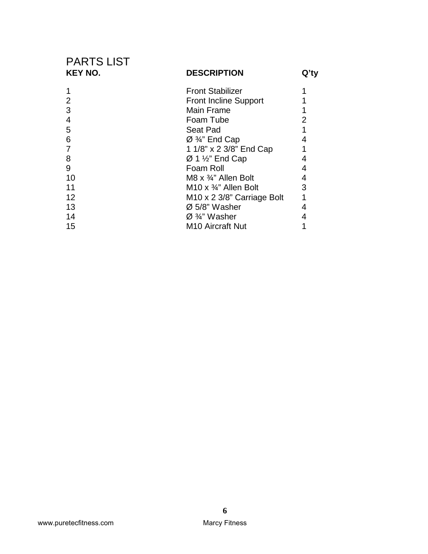| <b>PARTS LIST</b><br><b>KEY NO.</b> | <b>DESCRIPTION</b>                      | Q'ty |
|-------------------------------------|-----------------------------------------|------|
|                                     | <b>Front Stabilizer</b>                 |      |
| 2                                   | <b>Front Incline Support</b>            |      |
| 3                                   | <b>Main Frame</b>                       |      |
| 4                                   | Foam Tube                               | 2    |
| 5                                   | Seat Pad                                |      |
| 6                                   | Ø 3/4" End Cap                          | 4    |
|                                     | 1 1/8" x 2 3/8" End Cap                 |      |
| 8                                   | $\varnothing$ 1 $\frac{1}{2}$ " End Cap | 4    |
| 9                                   | Foam Roll                               | 4    |
| 10                                  | M8 $\times$ 3/4" Allen Bolt             | 4    |
| 11                                  | M10 x $\frac{3}{4}$ " Allen Bolt        | 3    |
| 12                                  | M <sub>10</sub> x 2 3/8" Carriage Bolt  | 1    |
| 13                                  | $\varnothing$ 5/8" Washer               | 4    |
| 14                                  | $\varnothing$ %" Washer                 |      |
| 15                                  | M <sub>10</sub> Aircraft Nut            |      |